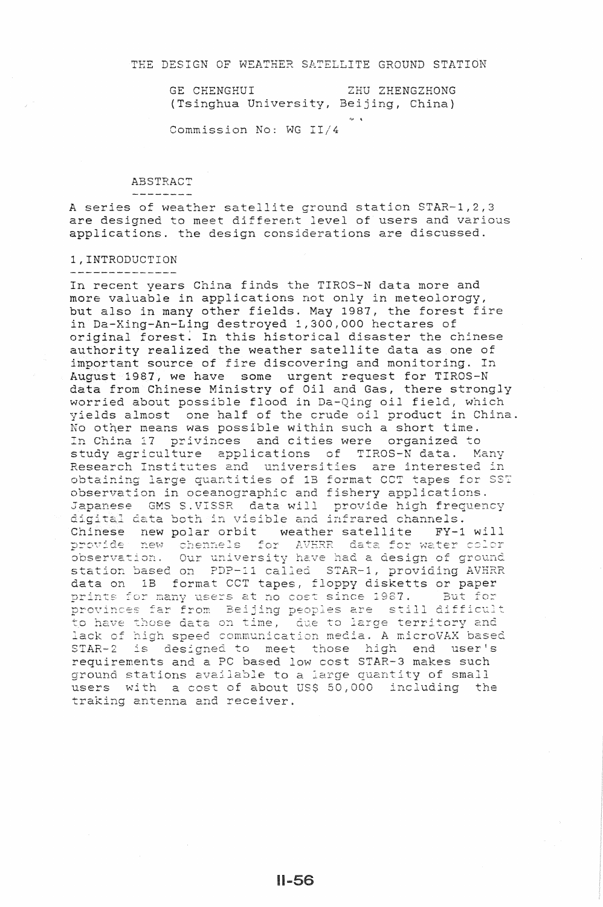GE CHENGHUI (Tsinghua University, Beijing, China) ZHU ZHENGZHONG

Commission No: WG II/4

ABSTRACT

-------<br>A series of weather satellite ground station STAR-1,2,3 are designed to meet different level of users and various applications. the design considerations are discussed.

## 1,INTRODUCTION

In recent years China finds the TIROS-N data more and more valuable in applications not only in meteolorogy, but also in many other fields. 1987, the forest fire in Da-Xing-An-Ling destroyed 1,300,000 hectares of original forest. In this historical disaster the chinese authority realized the weather satellite data as one of important source of fire discovering and monitoring. In August 1987, we have some urgent request for TIROS-N data from Chinese Ministry of Oil and Gas, there strongly worried about possible flood in *oil* field, which vields almost one half of the crude oil product in China. No other means was possible within such a short time. In China 17 privinces and cities were organized to study agriculture applications of TIROS- $\bar{N}$  data. Many Research Institutes and universities are interested in obtaining large quantities of 1B format CCT tapes for SST observation in oceanographic and fishery applications. Japanese GMS S.VISSR data will provide high frequency digital data both in visible and infrared channels. Chinese new polar orbit weather satellite FY-1 will<br>provide new chennels for AVERR data for water color observation. Our university have had a design of ground station based on PDP-11 called STAR-1, providing AVHRR data on 1B format CCT tapes, floppy disketts or paper wate on the reference to tapes, first active. prints for many users at no cost since 1967. And 102<br>provinces far from Beijing peoples are still difficult have those data on time,  $l$ ack of hi to arge territory and media. A microVAX based STAR-2 is designed to meet those high end user's requirements and a PC based low cost STAR-3 makes such ground stations available to a large quantity of small users with a cost of about US\$ 50,000 including the traking antenna and receiver.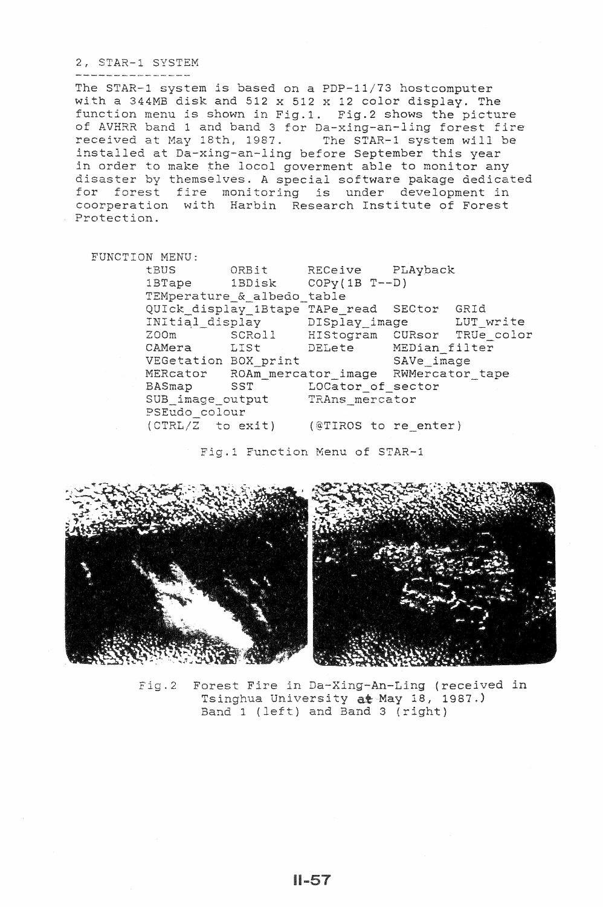## 2, STAR-1 SYSTEM

The STAR-1 system *is* based on a PDP-11/73 hostcomputer with a 344MB disk and 512 x 512 x 12 color display. The function menu *is* shown in Fig.1. Fig.2 shows the picture of AVHRR band 1 and band 3 for Da-xing-an-ling forest fire received at May 18th, 1987. The STAR-1 system will be installed at Da-xing-an-ling before September this year in order to make the locol goverment able to monitor any disaster by themselves. A special software pakage dedicated for forest fire monitoring is under development in coorperation with Harbin Research Institute of Forest Protection.

FUNCTION MENU: tBUS lBTape lBDisk COPy(1B T--D) ORBit RECeive PLAyback TEMperature\_&\_albedo\_table QUICk display 1Btape TAPe read SECtor GRId lay\_image LUT write CURsor TRUe\_color DELete MEDian filter VEGetation BOX\_print SAVe\_image MERcator ROAm\_mercator\_image RWMercator\_tape BASmap SST LOCator of sector SUB\_image\_output TRAns mercator PSEudo\_colour<br>(CTRL/Z to exit) (@TIROS to re enter) Fig.l Function Menu of STAR-1



Fig.2 Forest Fire in Da-Xing-An-Ling (received in Tsinghua University at May 18, 1987.) Band 1 (left) and Band 3 (right)